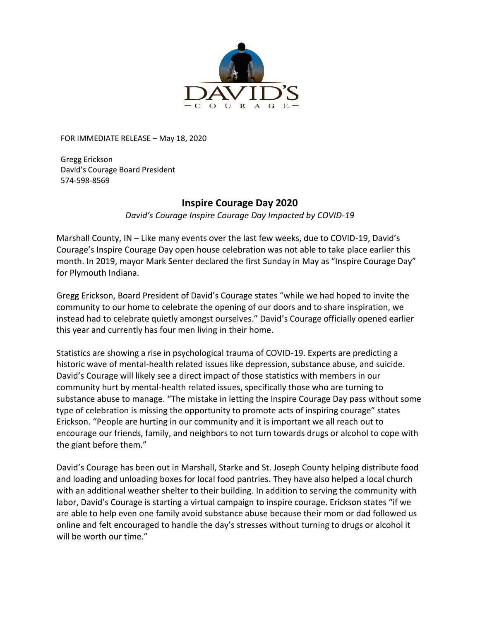

FOR IMMEDIATE RELEASE – May 18, 2020

Gregg Erickson David's Courage Board President 574-598-8569

## **Inspire Courage Day 2020**

*David's Courage Inspire Courage Day Impacted by COVID-19*

Marshall County, IN – Like many events over the last few weeks, due to COVID-19, David's Courage's Inspire Courage Day open house celebration was not able to take place earlier this month. In 2019, mayor Mark Senter declared the first Sunday in May as "Inspire Courage Day" for Plymouth Indiana.

Gregg Erickson, Board President of David's Courage states "while we had hoped to invite the community to our home to celebrate the opening of our doors and to share inspiration, we instead had to celebrate quietly amongst ourselves." David's Courage officially opened earlier this year and currently has four men living in their home.

Statistics are showing a rise in psychological trauma of COVID-19. Experts are predicting a historic wave of mental-health related issues like depression, substance abuse, and suicide. David's Courage will likely see a direct impact of those statistics with members in our community hurt by mental-health related issues, specifically those who are turning to substance abuse to manage. "The mistake in letting the Inspire Courage Day pass without some type of celebration is missing the opportunity to promote acts of inspiring courage" states Erickson. "People are hurting in our community and it is important we all reach out to encourage our friends, family, and neighbors to not turn towards drugs or alcohol to cope with the giant before them."

David's Courage has been out in Marshall, Starke and St. Joseph County helping distribute food and loading and unloading boxes for local food pantries. They have also helped a local church with an additional weather shelter to their building. In addition to serving the community with labor, David's Courage is starting a virtual campaign to inspire courage. Erickson states "if we are able to help even one family avoid substance abuse because their mom or dad followed us online and felt encouraged to handle the day's stresses without turning to drugs or alcohol it will be worth our time."